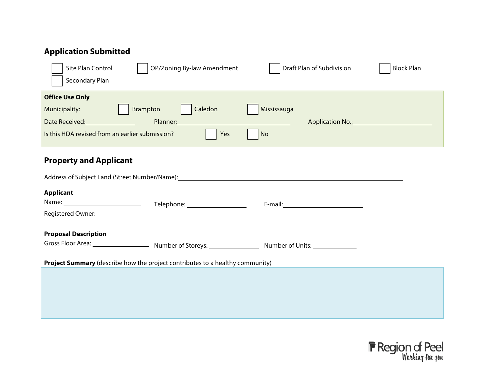## **Application Submitted**

| Site Plan Control<br>Secondary Plan             | OP/Zoning By-law Amendment | Draft Plan of Subdivision | <b>Block Plan</b> |
|-------------------------------------------------|----------------------------|---------------------------|-------------------|
| <b>Office Use Only</b>                          |                            |                           |                   |
| Municipality:                                   | Caledon<br>Brampton<br>IV  | Mississauga               |                   |
| Date Received:                                  | Planner:                   | <b>Application No.:</b>   |                   |
| Is this HDA revised from an earlier submission? | Yes                        | $\mathbf{V}$ No           |                   |
|                                                 |                            |                           |                   |

## **Property and Applicant**

| Address of Subject Land (Street Number/Name): |                              |                        |  |
|-----------------------------------------------|------------------------------|------------------------|--|
| <b>Applicant</b>                              |                              |                        |  |
| Name: ____________                            | Telephone: 905-568-8888 x227 | E-mail: Jasona@gsai.ca |  |
| Registered Owner: Snells Hollow Landowner C   |                              |                        |  |
| <b>Proposal Description</b>                   |                              |                        |  |
| Gross Floor Area: N/A                         | Number of Storeys: N/A       | Number of Units: 1,087 |  |

**Project Summary** (describe how the project contributes to a healthy community)

The proposal is a greenfield development that will contribute to a mix of housing options, will optimize the use of planned infrastructure and services, contribute to a safe and connected pedestrian network, contribute to the protection and restoration of natural features and their functions.

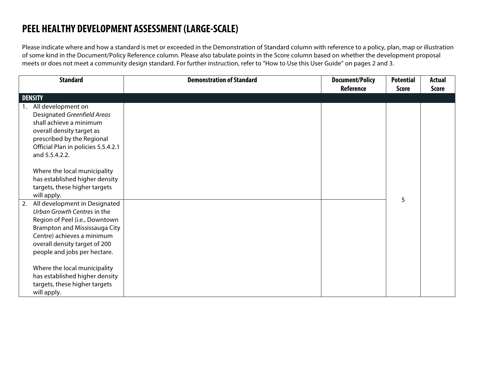## **PEEL HEALTHY DEVELOPMENT ASSESSMENT (LARGE-SCALE)**

Please indicate where and how a standard is met or exceeded in the Demonstration of Standard column with reference to a policy, plan, map or illustration of some kind in the Document/Policy Reference column. Please also tabulate points in the Score column based on whether the development proposal meets or does not meet a community design standard. For further instruction, refer to "How to Use this User Guide" on pages 2 and 3.

| <b>Standard</b>                                                                                                                                                                                                                | <b>Demonstration of Standard</b>                                                                                                                                                 | <b>Document/Policy</b>                                             | <b>Potential</b> | <b>Actual</b> |
|--------------------------------------------------------------------------------------------------------------------------------------------------------------------------------------------------------------------------------|----------------------------------------------------------------------------------------------------------------------------------------------------------------------------------|--------------------------------------------------------------------|------------------|---------------|
|                                                                                                                                                                                                                                |                                                                                                                                                                                  | Reference                                                          | <b>Score</b>     | <b>Score</b>  |
| <b>DENSITY</b>                                                                                                                                                                                                                 |                                                                                                                                                                                  |                                                                    |                  |               |
| All development on<br>Designated Greenfield Areas<br>shall achieve a minimum<br>overall density target as<br>prescribed by the Regional<br>Official Plan in policies 5.5.4.2.1<br>and 5.5.4.2.2.                               |                                                                                                                                                                                  | Region of Peel Official<br>Plan and<br>Development Concept<br>Plan |                  |               |
| Where the local municipality<br>has established higher density<br>targets, these higher targets<br>will apply.                                                                                                                 |                                                                                                                                                                                  |                                                                    |                  |               |
| All development in Designated<br>Urban Growth Centres in the<br>Region of Peel (i.e., Downtown<br>Brampton and Mississauga City<br>Centre) achieves a minimum<br>overall density target of 200<br>people and jobs per hectare. | The proposed development is not located within a designated Urban<br>Growth Centre within the Region of Peel and therefore this criteria<br>does not apply to the subject lands. | N/A                                                                | 5                | 5             |
| Where the local municipality<br>has established higher density<br>targets, these higher targets<br>will apply.                                                                                                                 |                                                                                                                                                                                  |                                                                    |                  |               |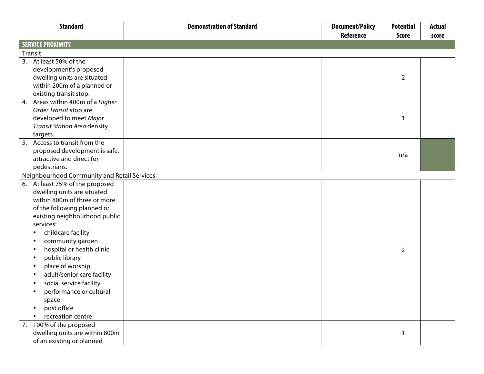|    | <b>Standard</b>                             | <b>Demonstration of Standard</b>                                           | <b>Document/Policy</b> | <b>Potential</b> | <b>Actual</b> |
|----|---------------------------------------------|----------------------------------------------------------------------------|------------------------|------------------|---------------|
|    |                                             |                                                                            | <b>Reference</b>       | <b>Score</b>     | score         |
|    | <b>SERVICE PROXIMITY</b>                    |                                                                            |                        |                  |               |
|    | Transit                                     |                                                                            |                        |                  |               |
|    | 3. At least 50% of the                      |                                                                            | Figure 1               |                  |               |
|    | development's proposed                      |                                                                            |                        |                  |               |
|    | dwelling units are situated                 |                                                                            |                        | $\overline{2}$   |               |
|    | within 200m of a planned or                 |                                                                            |                        |                  |               |
|    | existing transit stop.                      |                                                                            |                        |                  |               |
|    | 4. Areas within 400m of a Higher            | The proposed development is not located within 400m of a Higher Order      |                        |                  |               |
|    | Order Transit stop are                      | Transit Stop.                                                              |                        |                  |               |
|    | developed to meet Major                     |                                                                            |                        |                  | 0             |
|    | <b>Transit Station Area density</b>         |                                                                            |                        |                  |               |
|    | targets.                                    |                                                                            |                        |                  |               |
|    | 5. Access to transit from the               |                                                                            | See Figure 1           |                  |               |
|    | proposed development is safe,               |                                                                            |                        | n/a              |               |
|    | attractive and direct for                   |                                                                            |                        |                  |               |
|    | pedestrians.                                |                                                                            |                        |                  |               |
|    | Neighbourhood Community and Retail Services |                                                                            |                        |                  |               |
| 6. | At least 75% of the proposed                | The subject lands are not within 800m to the listed neighbourhood          |                        |                  |               |
|    | dwelling units are situated                 | public services. The site is situated at the outer limits of the Snelgrove |                        |                  |               |
|    | within 800m of three or more                | community planned for predominantly residential and open space uses.       |                        |                  |               |
|    | of the following planned or                 |                                                                            |                        |                  |               |
|    | existing neighbourhood public               |                                                                            |                        |                  |               |
|    | services:                                   |                                                                            |                        |                  |               |
|    | childcare facility                          |                                                                            |                        |                  |               |
|    | community garden                            |                                                                            |                        |                  |               |
|    | hospital or health clinic                   |                                                                            |                        | 2                | 0             |
|    | public library                              |                                                                            |                        |                  |               |
|    | place of worship                            |                                                                            |                        |                  |               |
|    | adult/senior care facility                  |                                                                            |                        |                  |               |
|    | social service facility                     |                                                                            |                        |                  |               |
|    | performance or cultural                     |                                                                            |                        |                  |               |
|    | space                                       |                                                                            |                        |                  |               |
|    | post office                                 |                                                                            |                        |                  |               |
|    | recreation centre                           |                                                                            |                        |                  |               |
|    | 7. 100% of the proposed                     |                                                                            | Figure 2               |                  |               |
|    | dwelling units are within 800m              |                                                                            |                        |                  |               |
|    | of an existing or planned                   |                                                                            |                        |                  |               |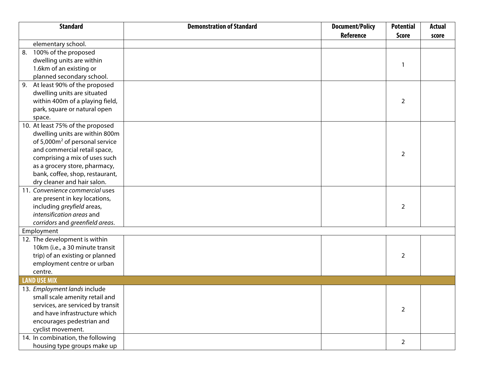| <b>Standard</b>                            | <b>Demonstration of Standard</b>                                     | <b>Document/Policy</b> | <b>Potential</b> | <b>Actual</b>  |
|--------------------------------------------|----------------------------------------------------------------------|------------------------|------------------|----------------|
|                                            |                                                                      | <b>Reference</b>       | <b>Score</b>     | score          |
| elementary school.                         |                                                                      |                        |                  |                |
| 100% of the proposed<br>8.                 |                                                                      |                        |                  |                |
| dwelling units are within                  |                                                                      |                        | -1               |                |
| 1.6km of an existing or                    |                                                                      |                        |                  |                |
| planned secondary school.                  |                                                                      |                        |                  |                |
| At least 90% of the proposed<br>9.         |                                                                      | Figure 3               |                  |                |
| dwelling units are situated                |                                                                      |                        |                  |                |
| within 400m of a playing field,            |                                                                      |                        | $\overline{2}$   | 2              |
| park, square or natural open               |                                                                      |                        |                  |                |
| space.                                     |                                                                      |                        |                  |                |
| 10. At least 75% of the proposed           |                                                                      |                        |                  |                |
| dwelling units are within 800m             |                                                                      |                        |                  |                |
| of 5,000m <sup>2</sup> of personal service |                                                                      |                        |                  |                |
| and commercial retail space,               |                                                                      |                        | 2                |                |
| comprising a mix of uses such              |                                                                      |                        |                  |                |
| as a grocery store, pharmacy,              |                                                                      |                        |                  |                |
| bank, coffee, shop, restaurant,            |                                                                      |                        |                  |                |
| dry cleaner and hair salon.                |                                                                      |                        |                  |                |
| 11. Convenience commercial uses            | Planned commercial uses are present in key locations within the      | See Commercial         |                  |                |
| are present in key locations,              | broader Snells Hollow Community boundaries. Planned commercial       | Figure 5               |                  |                |
| including greyfield areas,                 | uses will support the community and future residents of the proposed |                        | 2                | 2              |
| intensification areas and                  | development and contribute to a complete community.                  |                        |                  |                |
| corridors and greenfield areas.            |                                                                      |                        |                  |                |
| Employment                                 |                                                                      |                        |                  |                |
| 12. The development is within              |                                                                      |                        |                  |                |
| 10km (i.e., a 30 minute transit            |                                                                      |                        |                  |                |
| trip) of an existing or planned            |                                                                      |                        | 2                | 2              |
| employment centre or urban                 |                                                                      |                        |                  |                |
| centre.                                    |                                                                      |                        |                  |                |
| <b>LAND USE MIX</b>                        |                                                                      |                        |                  |                |
| 13. Employment lands include               | The proposed development does not include Employment lands.          | N/A                    |                  |                |
| small scale amenity retail and             |                                                                      |                        |                  |                |
| services, are serviced by transit          |                                                                      |                        |                  |                |
| and have infrastructure which              |                                                                      |                        | 2                | 0              |
| encourages pedestrian and                  |                                                                      |                        |                  |                |
| cyclist movement.                          |                                                                      |                        |                  |                |
| 14. In combination, the following          |                                                                      |                        |                  |                |
| housing type groups make up                |                                                                      |                        | 2                | $\overline{2}$ |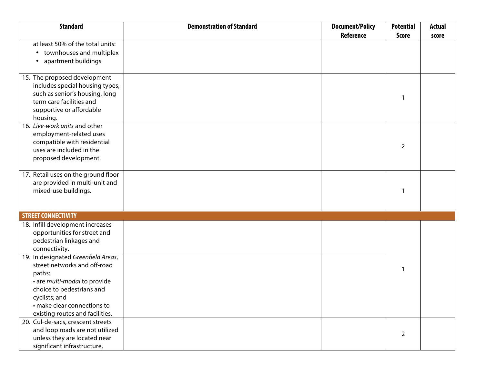| <b>Standard</b>                                                                                                                                                                                                               | <b>Demonstration of Standard</b>                                                                                                                                                                                                                                                                                        | <b>Document/Policy</b>                      | <b>Potential</b> | <b>Actual</b> |
|-------------------------------------------------------------------------------------------------------------------------------------------------------------------------------------------------------------------------------|-------------------------------------------------------------------------------------------------------------------------------------------------------------------------------------------------------------------------------------------------------------------------------------------------------------------------|---------------------------------------------|------------------|---------------|
|                                                                                                                                                                                                                               |                                                                                                                                                                                                                                                                                                                         | <b>Reference</b>                            | <b>Score</b>     | score         |
| at least 50% of the total units:<br>• townhouses and multiplex<br>apartment buildings<br>٠                                                                                                                                    | and townhomes & medium to high density. The number of<br>townhouses/ multiplex and apartment buildings represent approx 67%<br>of the total units and therefore supports this standard.                                                                                                                                 | Refer to the<br>Development<br>Concept Plan |                  |               |
| 15. The proposed development<br>includes special housing types,<br>such as senior's housing, long<br>term care facilities and<br>supportive or affordable<br>housing.                                                         | The proposed development will provide opportunities for affordable<br>housing through potential secondary dwelling units within ground-<br>related dwellings and through apartment related dwellings. Seniors<br>housing, long term care facilities and supportive housing are not<br>proposed on the subject property. | Refer to the<br>Development<br>Concept Plan |                  |               |
| 16. Live-work units and other<br>employment-related uses<br>compatible with residential<br>uses are included in the<br>proposed development.                                                                                  |                                                                                                                                                                                                                                                                                                                         |                                             | 2                |               |
| 17. Retail uses on the ground floor<br>are provided in multi-unit and<br>mixed-use buildings.                                                                                                                                 | Retail uses on ground floor areas are not proposed as part of this<br>application.                                                                                                                                                                                                                                      | N/A                                         |                  | 0             |
| <b>STREET CONNECTIVITY</b>                                                                                                                                                                                                    |                                                                                                                                                                                                                                                                                                                         |                                             |                  |               |
| 18. Infill development increases<br>opportunities for street and<br>pedestrian linkages and<br>connectivity.                                                                                                                  | The proposed development is not an infill development.                                                                                                                                                                                                                                                                  | N/A                                         |                  |               |
| 19. In designated Greenfield Areas,<br>street networks and off-road<br>paths:<br>· are multi-modal to provide<br>choice to pedestrians and<br>cyclists; and<br>· make clear connections to<br>existing routes and facilities. | The proposed development will provide multi-modal access on all right-<br>of-ways to support automobiles, cyclists and pedestrians.                                                                                                                                                                                     |                                             |                  |               |
| 20. Cul-de-sacs, crescent streets<br>and loop roads are not utilized<br>unless they are located near<br>significant infrastructure,                                                                                           |                                                                                                                                                                                                                                                                                                                         | See the Development<br>Concept Plan         | 2                | 2             |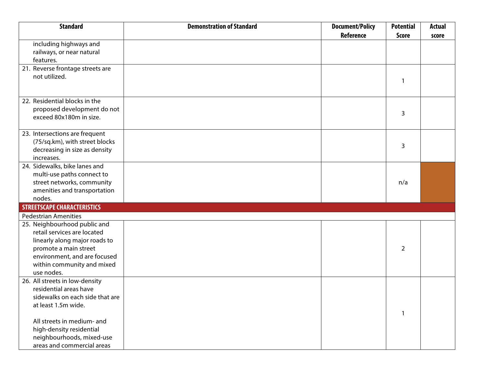| <b>Standard</b>                                          | <b>Demonstration of Standard</b>                                                                                                  | <b>Document/Policy</b>                | <b>Potential</b> | <b>Actual</b> |
|----------------------------------------------------------|-----------------------------------------------------------------------------------------------------------------------------------|---------------------------------------|------------------|---------------|
|                                                          |                                                                                                                                   | <b>Reference</b>                      | <b>Score</b>     | score         |
| including highways and                                   |                                                                                                                                   |                                       |                  |               |
| railways, or near natural                                |                                                                                                                                   |                                       |                  |               |
| features.                                                |                                                                                                                                   |                                       |                  |               |
| 21. Reverse frontage streets are                         | The proposal does not utilize reverse frontage streets.                                                                           | N/A                                   |                  |               |
| not utilized.                                            |                                                                                                                                   |                                       | -1               |               |
|                                                          |                                                                                                                                   |                                       |                  |               |
| 22. Residential blocks in the                            | Proposed residential blocks for the most part do not exceed 80 x 180 m                                                            | See the Development                   |                  |               |
| proposed development do not                              | lin size.                                                                                                                         | Concept Plan                          |                  |               |
| exceed 80x180m in size.                                  |                                                                                                                                   |                                       | 3                | 2             |
|                                                          |                                                                                                                                   |                                       |                  |               |
| 23. Intersections are frequent                           |                                                                                                                                   |                                       |                  |               |
| (75/sq.km), with street blocks                           |                                                                                                                                   |                                       | 3                |               |
| decreasing in size as density                            |                                                                                                                                   |                                       |                  |               |
| increases.                                               |                                                                                                                                   |                                       |                  |               |
| 24. Sidewalks, bike lanes and                            | The proposed development will link municipal right of ways to<br>sidewalks and the existing and planned street network as well as | See Development<br>Concept Plan.      |                  |               |
| multi-use paths connect to<br>street networks, community | community amenities like parks, transit, and trails.                                                                              |                                       | n/a              |               |
| amenities and transportation                             |                                                                                                                                   |                                       |                  |               |
| nodes.                                                   |                                                                                                                                   |                                       |                  |               |
| <b>STREETSCAPE CHARACTERISTICS</b>                       |                                                                                                                                   |                                       |                  |               |
| <b>Pedestrian Amenities</b>                              |                                                                                                                                   |                                       |                  |               |
| 25. Neighbourhood public and                             |                                                                                                                                   |                                       |                  |               |
| retail services are located                              |                                                                                                                                   |                                       |                  |               |
| linearly along major roads to                            |                                                                                                                                   |                                       |                  |               |
| promote a main street                                    |                                                                                                                                   |                                       | 2                |               |
| environment, and are focused                             |                                                                                                                                   |                                       |                  |               |
| within community and mixed                               |                                                                                                                                   |                                       |                  |               |
| use nodes.                                               |                                                                                                                                   |                                       |                  |               |
| 26. All streets in low-density                           |                                                                                                                                   | <b>Community Design</b><br>Guidelines |                  |               |
| residential areas have                                   |                                                                                                                                   |                                       |                  |               |
| sidewalks on each side that are                          |                                                                                                                                   |                                       |                  |               |
| at least 1.5m wide.                                      |                                                                                                                                   |                                       | $\mathbf{1}$     |               |
| All streets in medium- and                               |                                                                                                                                   |                                       |                  |               |
| high-density residential                                 |                                                                                                                                   |                                       |                  |               |
| neighbourhoods, mixed-use                                |                                                                                                                                   |                                       |                  |               |
| areas and commercial areas                               |                                                                                                                                   |                                       |                  |               |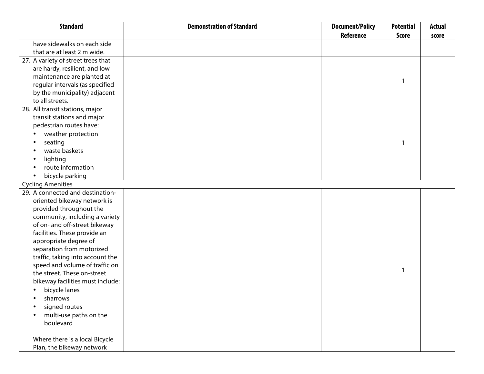| <b>Reference</b><br><b>Score</b>                            | score |
|-------------------------------------------------------------|-------|
|                                                             |       |
| have sidewalks on each side                                 |       |
| that are at least 2 m wide.                                 |       |
| 27. A variety of street trees that                          |       |
| are hardy, resilient, and low                               |       |
| maintenance are planted at                                  |       |
| regular intervals (as specified                             |       |
| by the municipality) adjacent                               |       |
| to all streets.                                             |       |
| 28. All transit stations, major                             |       |
| transit stations and major                                  |       |
| pedestrian routes have:                                     |       |
| weather protection                                          |       |
| seating                                                     |       |
| waste baskets                                               |       |
| lighting                                                    |       |
| route information                                           |       |
| bicycle parking                                             |       |
| <b>Cycling Amenities</b>                                    |       |
| <b>Transit Figure 1</b><br>29. A connected and destination- |       |
| oriented bikeway network is                                 |       |
| provided throughout the                                     |       |
| community, including a variety                              |       |
| of on- and off-street bikeway                               |       |
| facilities. These provide an                                |       |
| appropriate degree of                                       |       |
| separation from motorized                                   |       |
| traffic, taking into account the                            |       |
| speed and volume of traffic on                              |       |
| the street. These on-street                                 |       |
| bikeway facilities must include:                            |       |
| bicycle lanes<br>$\bullet$                                  |       |
| sharrows                                                    |       |
| signed routes                                               |       |
| multi-use paths on the                                      |       |
| boulevard                                                   |       |
| Where there is a local Bicycle                              |       |
| Plan, the bikeway network                                   |       |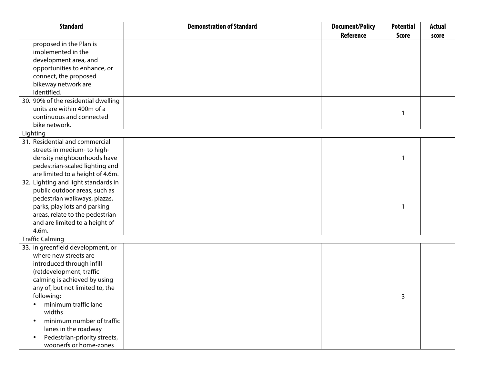| <b>Standard</b>                           | <b>Demonstration of Standard</b>                                     | <b>Document/Policy</b>  | <b>Potential</b> | <b>Actual</b> |
|-------------------------------------------|----------------------------------------------------------------------|-------------------------|------------------|---------------|
|                                           |                                                                      | <b>Reference</b>        | <b>Score</b>     | score         |
| proposed in the Plan is                   |                                                                      |                         |                  |               |
| implemented in the                        |                                                                      |                         |                  |               |
| development area, and                     |                                                                      |                         |                  |               |
| opportunities to enhance, or              |                                                                      |                         |                  |               |
| connect, the proposed                     |                                                                      |                         |                  |               |
| bikeway network are                       |                                                                      |                         |                  |               |
| identified.                               |                                                                      |                         |                  |               |
| 30. 90% of the residential dwelling       |                                                                      | <b>Transit Figure 1</b> |                  |               |
| units are within 400m of a                |                                                                      |                         |                  |               |
| continuous and connected                  |                                                                      |                         |                  |               |
| bike network.                             |                                                                      |                         |                  |               |
| Lighting                                  |                                                                      |                         |                  |               |
| 31. Residential and commercial            |                                                                      |                         |                  |               |
| streets in medium- to high-               |                                                                      |                         |                  |               |
| density neighbourhoods have               |                                                                      |                         |                  |               |
| pedestrian-scaled lighting and            |                                                                      |                         |                  |               |
| are limited to a height of 4.6m.          |                                                                      |                         |                  |               |
| 32. Lighting and light standards in       | ighting standards will be taken into consideration at a later design |                         |                  |               |
| public outdoor areas, such as             | stage for proposed pedestrian walkways and open spaces.              |                         |                  |               |
| pedestrian walkways, plazas,              |                                                                      |                         |                  |               |
| parks, play lots and parking              |                                                                      |                         |                  |               |
| areas, relate to the pedestrian           |                                                                      |                         |                  |               |
| and are limited to a height of            |                                                                      |                         |                  |               |
| 4.6m.                                     |                                                                      |                         |                  |               |
| <b>Traffic Calming</b>                    |                                                                      |                         |                  |               |
| 33. In greenfield development, or         |                                                                      |                         |                  |               |
| where new streets are                     |                                                                      |                         |                  |               |
| introduced through infill                 |                                                                      |                         |                  |               |
| (re)development, traffic                  |                                                                      |                         |                  |               |
| calming is achieved by using              |                                                                      |                         |                  |               |
| any of, but not limited to, the           |                                                                      |                         |                  |               |
| following:                                |                                                                      |                         | 3                | 3             |
| minimum traffic lane                      |                                                                      |                         |                  |               |
| widths                                    |                                                                      |                         |                  |               |
| minimum number of traffic                 |                                                                      |                         |                  |               |
| lanes in the roadway                      |                                                                      |                         |                  |               |
| Pedestrian-priority streets,<br>$\bullet$ |                                                                      |                         |                  |               |
| woonerfs or home-zones                    |                                                                      |                         |                  |               |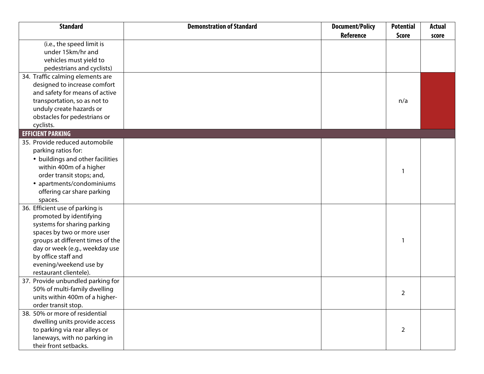| <b>Standard</b>                   | <b>Demonstration of Standard</b>                                      | <b>Document/Policy</b> | <b>Potential</b> | <b>Actual</b> |
|-----------------------------------|-----------------------------------------------------------------------|------------------------|------------------|---------------|
|                                   |                                                                       | <b>Reference</b>       | <b>Score</b>     | score         |
| (i.e., the speed limit is         |                                                                       |                        |                  |               |
| under 15km/hr and                 |                                                                       |                        |                  |               |
| vehicles must yield to            |                                                                       |                        |                  |               |
| pedestrians and cyclists)         |                                                                       |                        |                  |               |
| 34. Traffic calming elements are  | N/A                                                                   | N/A                    |                  |               |
| designed to increase comfort      |                                                                       |                        |                  |               |
| and safety for means of active    |                                                                       |                        |                  |               |
| transportation, so as not to      |                                                                       |                        | n/a              |               |
| unduly create hazards or          |                                                                       |                        |                  |               |
| obstacles for pedestrians or      |                                                                       |                        |                  |               |
| cyclists.                         |                                                                       |                        |                  |               |
| <b>EFFICIENT PARKING</b>          |                                                                       |                        |                  |               |
| 35. Provide reduced automobile    | It is anticipated reduced parking will be proposed for higher density | N/A                    |                  |               |
| parking ratios for:               | residential uses however car share parking will not be proposed.      |                        |                  |               |
| • buildings and other facilities  |                                                                       |                        |                  |               |
| within 400m of a higher           |                                                                       |                        |                  |               |
| order transit stops; and,         |                                                                       |                        |                  | 0             |
| • apartments/condominiums         |                                                                       |                        |                  |               |
| offering car share parking        |                                                                       |                        |                  |               |
| spaces.                           |                                                                       |                        |                  |               |
| 36. Efficient use of parking is   | Car sharing has not been included in the proposed development.        | N/A                    |                  |               |
| promoted by identifying           |                                                                       |                        |                  |               |
| systems for sharing parking       |                                                                       |                        |                  |               |
| spaces by two or more user        |                                                                       |                        |                  |               |
| groups at different times of the  |                                                                       |                        |                  | $\Omega$      |
| day or week (e.g., weekday use    |                                                                       |                        |                  |               |
| by office staff and               |                                                                       |                        |                  |               |
| evening/weekend use by            |                                                                       |                        |                  |               |
| restaurant clientele).            |                                                                       |                        |                  |               |
| 37. Provide unbundled parking for | Unbundled parking has not been included in the proposed               | N/A                    |                  |               |
| 50% of multi-family dwelling      | development.                                                          |                        | 2                | U             |
| units within 400m of a higher-    |                                                                       |                        |                  |               |
| order transit stop.               |                                                                       |                        |                  |               |
| 38. 50% or more of residential    |                                                                       | See Development        |                  |               |
| dwelling units provide access     |                                                                       | Concept Plan           |                  |               |
| to parking via rear alleys or     |                                                                       |                        | 2                |               |
| laneways, with no parking in      |                                                                       |                        |                  |               |
| their front setbacks.             |                                                                       |                        |                  |               |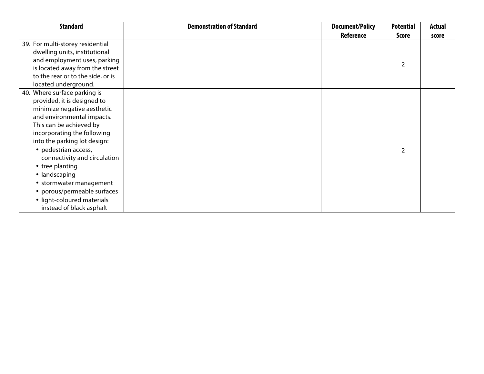| <b>Standard</b>                                                                                                                                                                                                                                                                                                                                                                                                                    | <b>Demonstration of Standard</b>                                                   | <b>Document/Policy</b> | <b>Potential</b>         | <b>Actual</b> |
|------------------------------------------------------------------------------------------------------------------------------------------------------------------------------------------------------------------------------------------------------------------------------------------------------------------------------------------------------------------------------------------------------------------------------------|------------------------------------------------------------------------------------|------------------------|--------------------------|---------------|
|                                                                                                                                                                                                                                                                                                                                                                                                                                    |                                                                                    | Reference              | <b>Score</b>             | score         |
| 39. For multi-storey residential<br>dwelling units, institutional<br>and employment uses, parking<br>is located away from the street<br>to the rear or to the side, or is<br>located underground.                                                                                                                                                                                                                                  | It is anticipated multi-storey residential parking will be located<br>underground. | N/A                    | $\overline{2}$           | 2             |
| 40. Where surface parking is<br>provided, it is designed to<br>minimize negative aesthetic<br>and environmental impacts.<br>This can be achieved by<br>incorporating the following<br>into the parking lot design:<br>• pedestrian access,<br>connectivity and circulation<br>• tree planting<br>• landscaping<br>• stormwater management<br>• porous/permeable surfaces<br>• light-coloured materials<br>instead of black asphalt |                                                                                    | N/A                    | $\overline{\phantom{a}}$ |               |